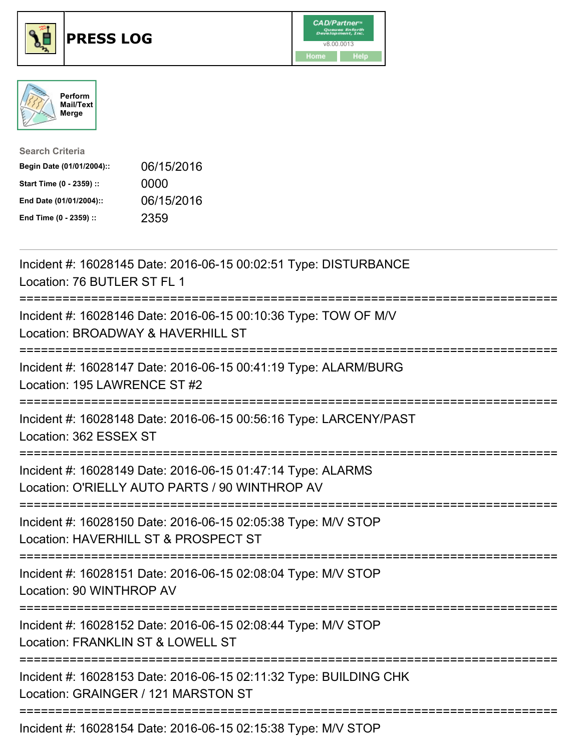





| <b>Search Criteria</b>    |            |
|---------------------------|------------|
| Begin Date (01/01/2004):: | 06/15/2016 |
| Start Time (0 - 2359) ::  | 0000       |
| End Date (01/01/2004)::   | 06/15/2016 |
| End Time (0 - 2359) ::    | 2359       |

| Incident #: 16028145 Date: 2016-06-15 00:02:51 Type: DISTURBANCE<br>Location: 76 BUTLER ST FL 1                                                   |
|---------------------------------------------------------------------------------------------------------------------------------------------------|
| Incident #: 16028146 Date: 2016-06-15 00:10:36 Type: TOW OF M/V<br>Location: BROADWAY & HAVERHILL ST                                              |
| Incident #: 16028147 Date: 2016-06-15 00:41:19 Type: ALARM/BURG<br>Location: 195 LAWRENCE ST #2<br>===========                                    |
| Incident #: 16028148 Date: 2016-06-15 00:56:16 Type: LARCENY/PAST<br>Location: 362 ESSEX ST<br>.---------------------                             |
| Incident #: 16028149 Date: 2016-06-15 01:47:14 Type: ALARMS<br>Location: O'RIELLY AUTO PARTS / 90 WINTHROP AV<br>.------------------------------- |
| Incident #: 16028150 Date: 2016-06-15 02:05:38 Type: M/V STOP<br>Location: HAVERHILL ST & PROSPECT ST                                             |
| Incident #: 16028151 Date: 2016-06-15 02:08:04 Type: M/V STOP<br>Location: 90 WINTHROP AV                                                         |
| Incident #: 16028152 Date: 2016-06-15 02:08:44 Type: M/V STOP<br>Location: FRANKLIN ST & LOWELL ST<br>==============================              |
| Incident #: 16028153 Date: 2016-06-15 02:11:32 Type: BUILDING CHK<br>Location: GRAINGER / 121 MARSTON ST                                          |
| Incident #: 16028154 Date: 2016-06-15 02:15:38 Type: M/V STOP                                                                                     |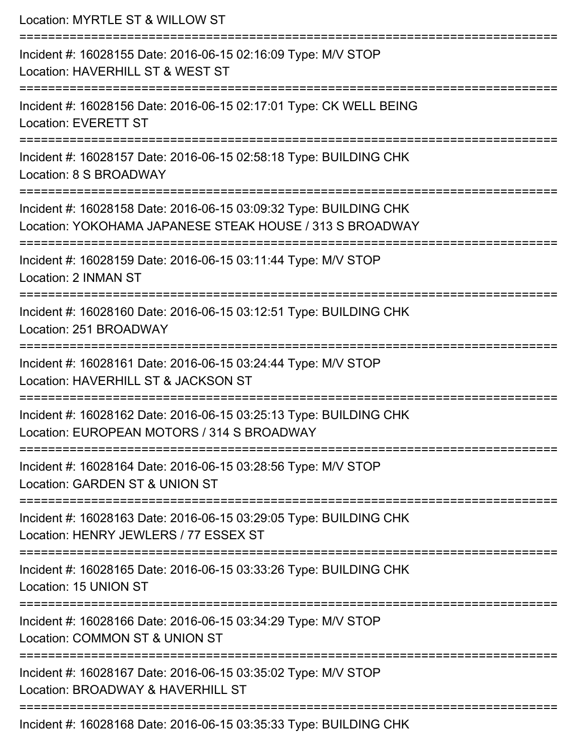| Location: MYRTLE ST & WILLOW ST                                                                                                     |
|-------------------------------------------------------------------------------------------------------------------------------------|
| Incident #: 16028155 Date: 2016-06-15 02:16:09 Type: M/V STOP<br>Location: HAVERHILL ST & WEST ST<br>:======================        |
| Incident #: 16028156 Date: 2016-06-15 02:17:01 Type: CK WELL BEING<br><b>Location: EVERETT ST</b>                                   |
| Incident #: 16028157 Date: 2016-06-15 02:58:18 Type: BUILDING CHK<br>Location: 8 S BROADWAY                                         |
| Incident #: 16028158 Date: 2016-06-15 03:09:32 Type: BUILDING CHK<br>Location: YOKOHAMA JAPANESE STEAK HOUSE / 313 S BROADWAY       |
| Incident #: 16028159 Date: 2016-06-15 03:11:44 Type: M/V STOP<br>Location: 2 INMAN ST                                               |
| Incident #: 16028160 Date: 2016-06-15 03:12:51 Type: BUILDING CHK<br>Location: 251 BROADWAY                                         |
| ===========================<br>Incident #: 16028161 Date: 2016-06-15 03:24:44 Type: M/V STOP<br>Location: HAVERHILL ST & JACKSON ST |
| Incident #: 16028162 Date: 2016-06-15 03:25:13 Type: BUILDING CHK<br>Location: EUROPEAN MOTORS / 314 S BROADWAY                     |
| Incident #: 16028164 Date: 2016-06-15 03:28:56 Type: M/V STOP<br>Location: GARDEN ST & UNION ST                                     |
| Incident #: 16028163 Date: 2016-06-15 03:29:05 Type: BUILDING CHK<br>Location: HENRY JEWLERS / 77 ESSEX ST                          |
| Incident #: 16028165 Date: 2016-06-15 03:33:26 Type: BUILDING CHK<br>Location: 15 UNION ST                                          |
| Incident #: 16028166 Date: 2016-06-15 03:34:29 Type: M/V STOP<br>Location: COMMON ST & UNION ST                                     |
| Incident #: 16028167 Date: 2016-06-15 03:35:02 Type: M/V STOP<br>Location: BROADWAY & HAVERHILL ST                                  |
| Incident #: 16028168 Date: 2016-06-15 03:35:33 Type: BUILDING CHK                                                                   |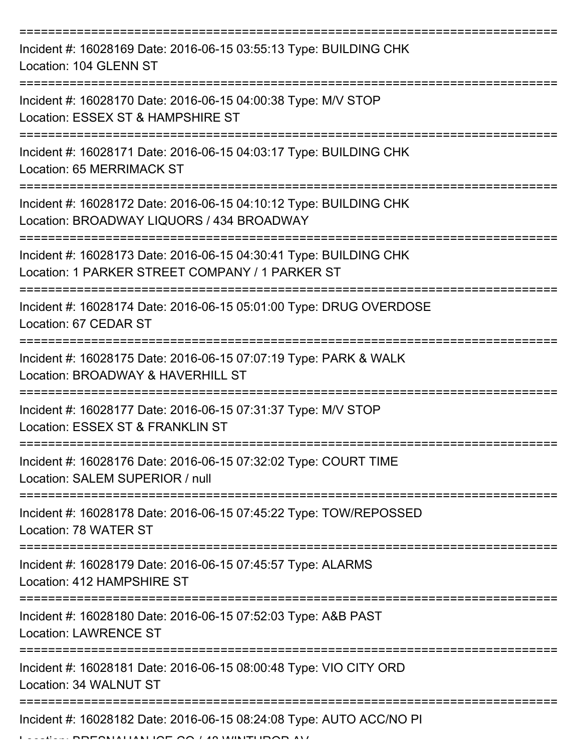| Incident #: 16028169 Date: 2016-06-15 03:55:13 Type: BUILDING CHK<br>Location: 104 GLENN ST                          |
|----------------------------------------------------------------------------------------------------------------------|
| Incident #: 16028170 Date: 2016-06-15 04:00:38 Type: M/V STOP<br>Location: ESSEX ST & HAMPSHIRE ST                   |
| Incident #: 16028171 Date: 2016-06-15 04:03:17 Type: BUILDING CHK<br>Location: 65 MERRIMACK ST                       |
| Incident #: 16028172 Date: 2016-06-15 04:10:12 Type: BUILDING CHK<br>Location: BROADWAY LIQUORS / 434 BROADWAY       |
| Incident #: 16028173 Date: 2016-06-15 04:30:41 Type: BUILDING CHK<br>Location: 1 PARKER STREET COMPANY / 1 PARKER ST |
| Incident #: 16028174 Date: 2016-06-15 05:01:00 Type: DRUG OVERDOSE<br>Location: 67 CEDAR ST                          |
| Incident #: 16028175 Date: 2016-06-15 07:07:19 Type: PARK & WALK<br>Location: BROADWAY & HAVERHILL ST                |
| Incident #: 16028177 Date: 2016-06-15 07:31:37 Type: M/V STOP<br>Location: ESSEX ST & FRANKLIN ST                    |
| Incident #: 16028176 Date: 2016-06-15 07:32:02 Type: COURT TIME<br>Location: SALEM SUPERIOR / null                   |
| Incident #: 16028178 Date: 2016-06-15 07:45:22 Type: TOW/REPOSSED<br>Location: 78 WATER ST                           |
| Incident #: 16028179 Date: 2016-06-15 07:45:57 Type: ALARMS<br>Location: 412 HAMPSHIRE ST                            |
| Incident #: 16028180 Date: 2016-06-15 07:52:03 Type: A&B PAST<br><b>Location: LAWRENCE ST</b>                        |
| Incident #: 16028181 Date: 2016-06-15 08:00:48 Type: VIO CITY ORD<br>Location: 34 WALNUT ST                          |
| Incident #: 16028182 Date: 2016-06-15 08:24:08 Type: AUTO ACC/NO PI                                                  |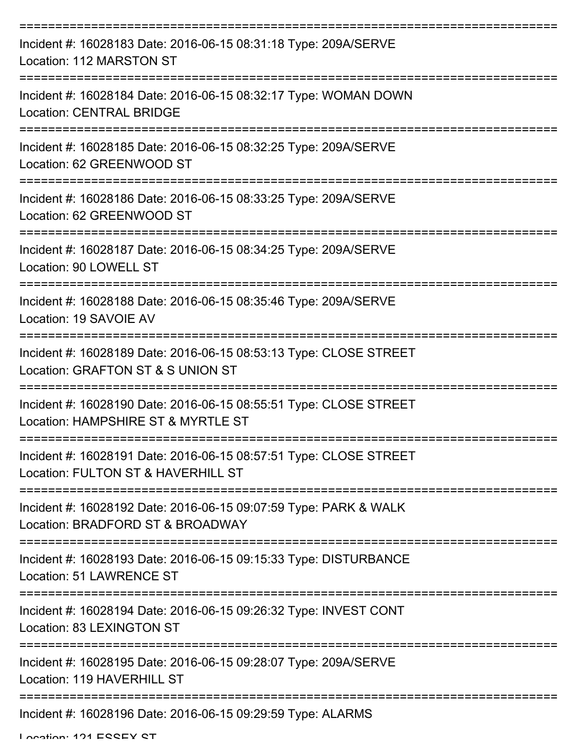| Incident #: 16028183 Date: 2016-06-15 08:31:18 Type: 209A/SERVE<br>Location: 112 MARSTON ST                                     |
|---------------------------------------------------------------------------------------------------------------------------------|
| Incident #: 16028184 Date: 2016-06-15 08:32:17 Type: WOMAN DOWN<br><b>Location: CENTRAL BRIDGE</b>                              |
| Incident #: 16028185 Date: 2016-06-15 08:32:25 Type: 209A/SERVE<br>Location: 62 GREENWOOD ST                                    |
| Incident #: 16028186 Date: 2016-06-15 08:33:25 Type: 209A/SERVE<br>Location: 62 GREENWOOD ST                                    |
| Incident #: 16028187 Date: 2016-06-15 08:34:25 Type: 209A/SERVE<br>Location: 90 LOWELL ST                                       |
| Incident #: 16028188 Date: 2016-06-15 08:35:46 Type: 209A/SERVE<br>Location: 19 SAVOIE AV                                       |
| ---------------------<br>Incident #: 16028189 Date: 2016-06-15 08:53:13 Type: CLOSE STREET<br>Location: GRAFTON ST & S UNION ST |
| Incident #: 16028190 Date: 2016-06-15 08:55:51 Type: CLOSE STREET<br>Location: HAMPSHIRE ST & MYRTLE ST                         |
| Incident #: 16028191 Date: 2016-06-15 08:57:51 Type: CLOSE STREET<br>Location: FULTON ST & HAVERHILL ST                         |
| Incident #: 16028192 Date: 2016-06-15 09:07:59 Type: PARK & WALK<br>Location: BRADFORD ST & BROADWAY                            |
| Incident #: 16028193 Date: 2016-06-15 09:15:33 Type: DISTURBANCE<br>Location: 51 LAWRENCE ST                                    |
| Incident #: 16028194 Date: 2016-06-15 09:26:32 Type: INVEST CONT<br>Location: 83 LEXINGTON ST                                   |
| Incident #: 16028195 Date: 2016-06-15 09:28:07 Type: 209A/SERVE<br>Location: 119 HAVERHILL ST                                   |
| Incident #: 16028196 Date: 2016-06-15 09:29:59 Type: ALARMS                                                                     |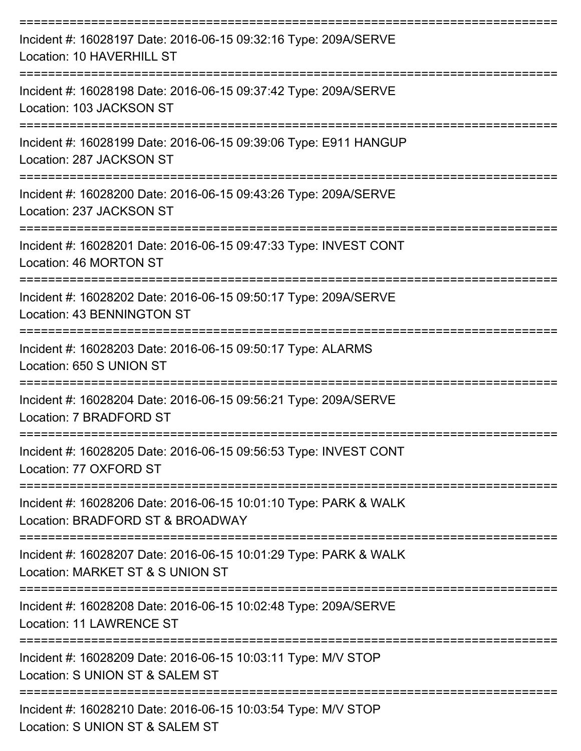| Incident #: 16028197 Date: 2016-06-15 09:32:16 Type: 209A/SERVE<br>Location: 10 HAVERHILL ST         |
|------------------------------------------------------------------------------------------------------|
| Incident #: 16028198 Date: 2016-06-15 09:37:42 Type: 209A/SERVE<br>Location: 103 JACKSON ST          |
| Incident #: 16028199 Date: 2016-06-15 09:39:06 Type: E911 HANGUP<br>Location: 287 JACKSON ST         |
| Incident #: 16028200 Date: 2016-06-15 09:43:26 Type: 209A/SERVE<br>Location: 237 JACKSON ST          |
| Incident #: 16028201 Date: 2016-06-15 09:47:33 Type: INVEST CONT<br>Location: 46 MORTON ST           |
| Incident #: 16028202 Date: 2016-06-15 09:50:17 Type: 209A/SERVE<br>Location: 43 BENNINGTON ST        |
| Incident #: 16028203 Date: 2016-06-15 09:50:17 Type: ALARMS<br>Location: 650 S UNION ST              |
| Incident #: 16028204 Date: 2016-06-15 09:56:21 Type: 209A/SERVE<br>Location: 7 BRADFORD ST           |
| Incident #: 16028205 Date: 2016-06-15 09:56:53 Type: INVEST CONT<br>Location: 77 OXFORD ST           |
| Incident #: 16028206 Date: 2016-06-15 10:01:10 Type: PARK & WALK<br>Location: BRADFORD ST & BROADWAY |
| Incident #: 16028207 Date: 2016-06-15 10:01:29 Type: PARK & WALK<br>Location: MARKET ST & S UNION ST |
| Incident #: 16028208 Date: 2016-06-15 10:02:48 Type: 209A/SERVE<br>Location: 11 LAWRENCE ST          |
| Incident #: 16028209 Date: 2016-06-15 10:03:11 Type: M/V STOP<br>Location: S UNION ST & SALEM ST     |
| Incident #: 16028210 Date: 2016-06-15 10:03:54 Type: M/V STOP<br>Location: S UNION ST & SALEM ST     |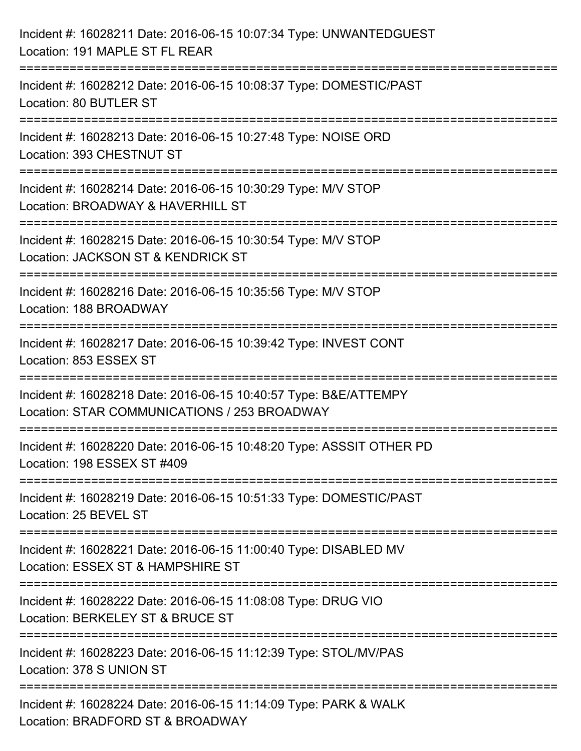| Incident #: 16028211 Date: 2016-06-15 10:07:34 Type: UNWANTEDGUEST<br>Location: 191 MAPLE ST FL REAR                             |
|----------------------------------------------------------------------------------------------------------------------------------|
| Incident #: 16028212 Date: 2016-06-15 10:08:37 Type: DOMESTIC/PAST<br>Location: 80 BUTLER ST                                     |
| Incident #: 16028213 Date: 2016-06-15 10:27:48 Type: NOISE ORD<br>Location: 393 CHESTNUT ST<br>:================================ |
| Incident #: 16028214 Date: 2016-06-15 10:30:29 Type: M/V STOP<br>Location: BROADWAY & HAVERHILL ST                               |
| Incident #: 16028215 Date: 2016-06-15 10:30:54 Type: M/V STOP<br>Location: JACKSON ST & KENDRICK ST                              |
| Incident #: 16028216 Date: 2016-06-15 10:35:56 Type: M/V STOP<br>Location: 188 BROADWAY                                          |
| Incident #: 16028217 Date: 2016-06-15 10:39:42 Type: INVEST CONT<br>Location: 853 ESSEX ST                                       |
| Incident #: 16028218 Date: 2016-06-15 10:40:57 Type: B&E/ATTEMPY<br>Location: STAR COMMUNICATIONS / 253 BROADWAY                 |
| Incident #: 16028220 Date: 2016-06-15 10:48:20 Type: ASSSIT OTHER PD<br>Location: 198 ESSEX ST #409                              |
| Incident #: 16028219 Date: 2016-06-15 10:51:33 Type: DOMESTIC/PAST<br>Location: 25 BEVEL ST                                      |
| Incident #: 16028221 Date: 2016-06-15 11:00:40 Type: DISABLED MV<br>Location: ESSEX ST & HAMPSHIRE ST                            |
| Incident #: 16028222 Date: 2016-06-15 11:08:08 Type: DRUG VIO<br>Location: BERKELEY ST & BRUCE ST                                |
| Incident #: 16028223 Date: 2016-06-15 11:12:39 Type: STOL/MV/PAS<br>Location: 378 S UNION ST                                     |
| Incident #: 16028224 Date: 2016-06-15 11:14:09 Type: PARK & WALK<br>Location: BRADFORD ST & BROADWAY                             |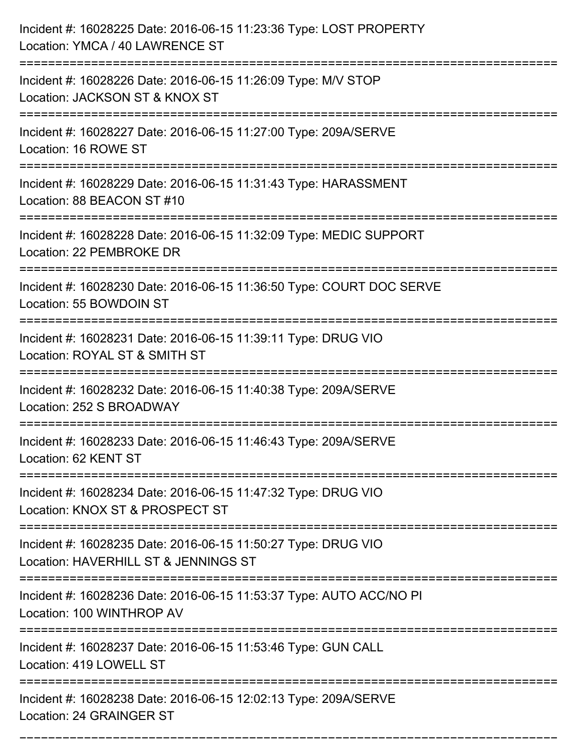| Incident #: 16028225 Date: 2016-06-15 11:23:36 Type: LOST PROPERTY<br>Location: YMCA / 40 LAWRENCE ST |
|-------------------------------------------------------------------------------------------------------|
| Incident #: 16028226 Date: 2016-06-15 11:26:09 Type: M/V STOP<br>Location: JACKSON ST & KNOX ST       |
| Incident #: 16028227 Date: 2016-06-15 11:27:00 Type: 209A/SERVE<br>Location: 16 ROWE ST               |
| Incident #: 16028229 Date: 2016-06-15 11:31:43 Type: HARASSMENT<br>Location: 88 BEACON ST #10         |
| Incident #: 16028228 Date: 2016-06-15 11:32:09 Type: MEDIC SUPPORT<br>Location: 22 PEMBROKE DR        |
| Incident #: 16028230 Date: 2016-06-15 11:36:50 Type: COURT DOC SERVE<br>Location: 55 BOWDOIN ST       |
| Incident #: 16028231 Date: 2016-06-15 11:39:11 Type: DRUG VIO<br>Location: ROYAL ST & SMITH ST        |
| Incident #: 16028232 Date: 2016-06-15 11:40:38 Type: 209A/SERVE<br>Location: 252 S BROADWAY           |
| Incident #: 16028233 Date: 2016-06-15 11:46:43 Type: 209A/SERVE<br>Location: 62 KENT ST               |
| Incident #: 16028234 Date: 2016-06-15 11:47:32 Type: DRUG VIO<br>Location: KNOX ST & PROSPECT ST      |
| Incident #: 16028235 Date: 2016-06-15 11:50:27 Type: DRUG VIO<br>Location: HAVERHILL ST & JENNINGS ST |
| Incident #: 16028236 Date: 2016-06-15 11:53:37 Type: AUTO ACC/NO PI<br>Location: 100 WINTHROP AV      |
| Incident #: 16028237 Date: 2016-06-15 11:53:46 Type: GUN CALL<br>Location: 419 LOWELL ST              |
| Incident #: 16028238 Date: 2016-06-15 12:02:13 Type: 209A/SERVE<br>Location: 24 GRAINGER ST           |

===========================================================================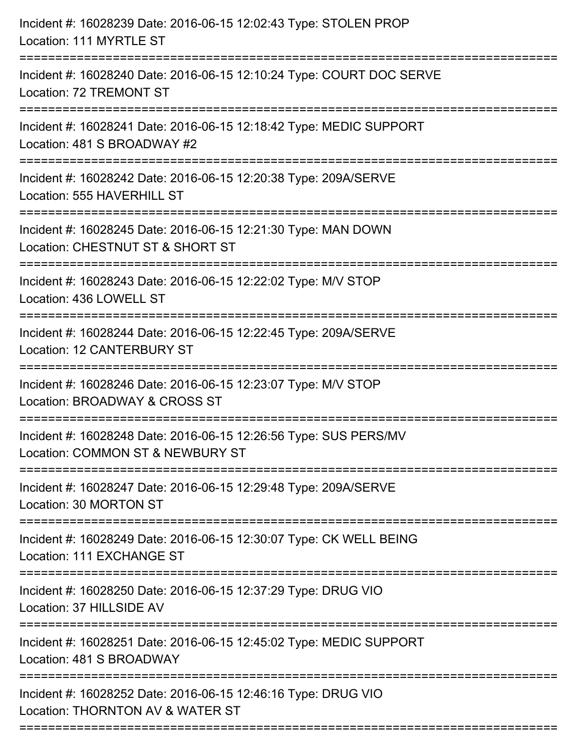| Incident #: 16028239 Date: 2016-06-15 12:02:43 Type: STOLEN PROP<br>Location: 111 MYRTLE ST                                           |
|---------------------------------------------------------------------------------------------------------------------------------------|
| Incident #: 16028240 Date: 2016-06-15 12:10:24 Type: COURT DOC SERVE<br>Location: 72 TREMONT ST                                       |
| Incident #: 16028241 Date: 2016-06-15 12:18:42 Type: MEDIC SUPPORT<br>Location: 481 S BROADWAY #2<br>================================ |
| Incident #: 16028242 Date: 2016-06-15 12:20:38 Type: 209A/SERVE<br>Location: 555 HAVERHILL ST                                         |
| Incident #: 16028245 Date: 2016-06-15 12:21:30 Type: MAN DOWN<br>Location: CHESTNUT ST & SHORT ST                                     |
| Incident #: 16028243 Date: 2016-06-15 12:22:02 Type: M/V STOP<br>Location: 436 LOWELL ST                                              |
| Incident #: 16028244 Date: 2016-06-15 12:22:45 Type: 209A/SERVE<br>Location: 12 CANTERBURY ST                                         |
| Incident #: 16028246 Date: 2016-06-15 12:23:07 Type: M/V STOP<br>Location: BROADWAY & CROSS ST                                        |
| Incident #: 16028248 Date: 2016-06-15 12:26:56 Type: SUS PERS/MV<br>Location: COMMON ST & NEWBURY ST                                  |
| Incident #: 16028247 Date: 2016-06-15 12:29:48 Type: 209A/SERVE<br>Location: 30 MORTON ST                                             |
| Incident #: 16028249 Date: 2016-06-15 12:30:07 Type: CK WELL BEING<br>Location: 111 EXCHANGE ST                                       |
| Incident #: 16028250 Date: 2016-06-15 12:37:29 Type: DRUG VIO<br>Location: 37 HILLSIDE AV                                             |
| Incident #: 16028251 Date: 2016-06-15 12:45:02 Type: MEDIC SUPPORT<br>Location: 481 S BROADWAY                                        |
| Incident #: 16028252 Date: 2016-06-15 12:46:16 Type: DRUG VIO<br>Location: THORNTON AV & WATER ST                                     |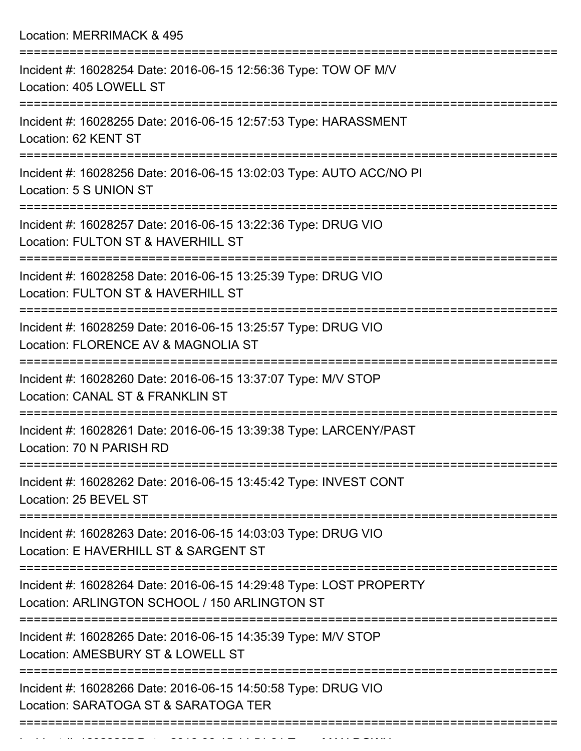Location: MERRIMACK & 495

| Incident #: 16028254 Date: 2016-06-15 12:56:36 Type: TOW OF M/V<br>Location: 405 LOWELL ST                          |
|---------------------------------------------------------------------------------------------------------------------|
| Incident #: 16028255 Date: 2016-06-15 12:57:53 Type: HARASSMENT<br>Location: 62 KENT ST                             |
| Incident #: 16028256 Date: 2016-06-15 13:02:03 Type: AUTO ACC/NO PI<br>Location: 5 S UNION ST                       |
| Incident #: 16028257 Date: 2016-06-15 13:22:36 Type: DRUG VIO<br>Location: FULTON ST & HAVERHILL ST                 |
| Incident #: 16028258 Date: 2016-06-15 13:25:39 Type: DRUG VIO<br>Location: FULTON ST & HAVERHILL ST                 |
| Incident #: 16028259 Date: 2016-06-15 13:25:57 Type: DRUG VIO<br>Location: FLORENCE AV & MAGNOLIA ST                |
| Incident #: 16028260 Date: 2016-06-15 13:37:07 Type: M/V STOP<br>Location: CANAL ST & FRANKLIN ST                   |
| Incident #: 16028261 Date: 2016-06-15 13:39:38 Type: LARCENY/PAST<br>Location: 70 N PARISH RD                       |
| Incident #: 16028262 Date: 2016-06-15 13:45:42 Type: INVEST CONT<br>Location: 25 BEVEL ST                           |
| Incident #: 16028263 Date: 2016-06-15 14:03:03 Type: DRUG VIO<br>Location: E HAVERHILL ST & SARGENT ST              |
| Incident #: 16028264 Date: 2016-06-15 14:29:48 Type: LOST PROPERTY<br>Location: ARLINGTON SCHOOL / 150 ARLINGTON ST |
| Incident #: 16028265 Date: 2016-06-15 14:35:39 Type: M/V STOP<br>Location: AMESBURY ST & LOWELL ST                  |
| Incident #: 16028266 Date: 2016-06-15 14:50:58 Type: DRUG VIO<br>Location: SARATOGA ST & SARATOGA TER               |
|                                                                                                                     |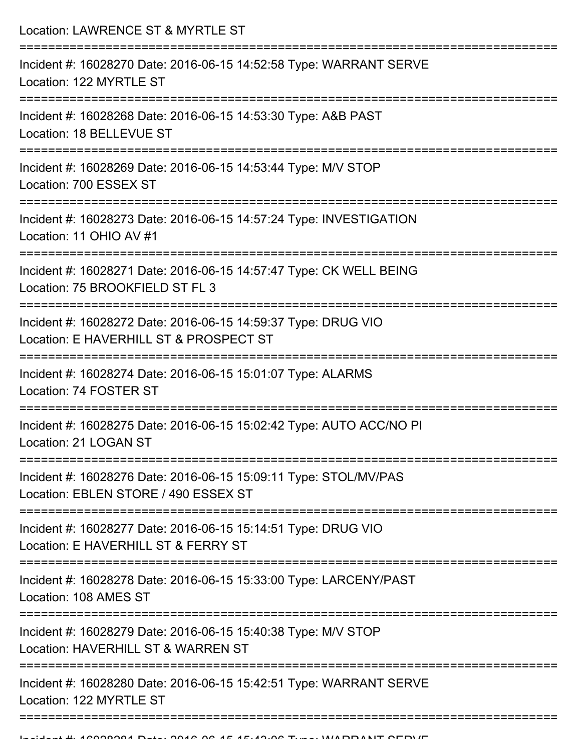| Location: LAWRENCE ST & MYRTLE ST<br>--------------------------                                                                   |
|-----------------------------------------------------------------------------------------------------------------------------------|
| Incident #: 16028270 Date: 2016-06-15 14:52:58 Type: WARRANT SERVE<br>Location: 122 MYRTLE ST                                     |
| Incident #: 16028268 Date: 2016-06-15 14:53:30 Type: A&B PAST<br>Location: 18 BELLEVUE ST<br>:==========================          |
| Incident #: 16028269 Date: 2016-06-15 14:53:44 Type: M/V STOP<br>Location: 700 ESSEX ST                                           |
| Incident #: 16028273 Date: 2016-06-15 14:57:24 Type: INVESTIGATION<br>Location: 11 OHIO AV #1                                     |
| Incident #: 16028271 Date: 2016-06-15 14:57:47 Type: CK WELL BEING<br>Location: 75 BROOKFIELD ST FL 3                             |
| Incident #: 16028272 Date: 2016-06-15 14:59:37 Type: DRUG VIO<br>Location: E HAVERHILL ST & PROSPECT ST                           |
| Incident #: 16028274 Date: 2016-06-15 15:01:07 Type: ALARMS<br>Location: 74 FOSTER ST                                             |
| Incident #: 16028275 Date: 2016-06-15 15:02:42 Type: AUTO ACC/NO PI<br>Location: 21 LOGAN ST                                      |
| Incident #: 16028276 Date: 2016-06-15 15:09:11 Type: STOL/MV/PAS<br>Location: EBLEN STORE / 490 ESSEX ST                          |
| -------------------------<br>Incident #: 16028277 Date: 2016-06-15 15:14:51 Type: DRUG VIO<br>Location: E HAVERHILL ST & FERRY ST |
| Incident #: 16028278 Date: 2016-06-15 15:33:00 Type: LARCENY/PAST<br>Location: 108 AMES ST                                        |
| Incident #: 16028279 Date: 2016-06-15 15:40:38 Type: M/V STOP<br>Location: HAVERHILL ST & WARREN ST                               |
| Incident #: 16028280 Date: 2016-06-15 15:42:51 Type: WARRANT SERVE<br>Location: 122 MYRTLE ST                                     |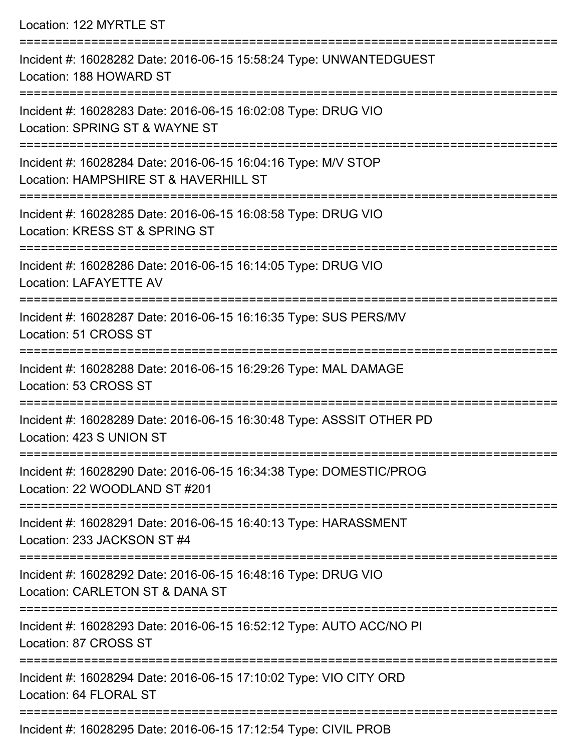Location: 122 MYRTLE ST =========================================================================== Incident #: 16028282 Date: 2016-06-15 15:58:24 Type: UNWANTEDGUEST Location: 188 HOWARD ST =========================================================================== Incident #: 16028283 Date: 2016-06-15 16:02:08 Type: DRUG VIO Location: SPRING ST & WAYNE ST =========================================================================== Incident #: 16028284 Date: 2016-06-15 16:04:16 Type: M/V STOP Location: HAMPSHIRE ST & HAVERHILL ST =========================================================================== Incident #: 16028285 Date: 2016-06-15 16:08:58 Type: DRUG VIO Location: KRESS ST & SPRING ST =========================================================================== Incident #: 16028286 Date: 2016-06-15 16:14:05 Type: DRUG VIO Location: LAFAYETTE AV =========================================================================== Incident #: 16028287 Date: 2016-06-15 16:16:35 Type: SUS PERS/MV Location: 51 CROSS ST =========================================================================== Incident #: 16028288 Date: 2016-06-15 16:29:26 Type: MAL DAMAGE Location: 53 CROSS ST =========================================================================== Incident #: 16028289 Date: 2016-06-15 16:30:48 Type: ASSSIT OTHER PD Location: 423 S UNION ST =========================================================================== Incident #: 16028290 Date: 2016-06-15 16:34:38 Type: DOMESTIC/PROG Location: 22 WOODLAND ST #201 =========================================================================== Incident #: 16028291 Date: 2016-06-15 16:40:13 Type: HARASSMENT Location: 233 JACKSON ST #4 =========================================================================== Incident #: 16028292 Date: 2016-06-15 16:48:16 Type: DRUG VIO Location: CARLETON ST & DANA ST =========================================================================== Incident #: 16028293 Date: 2016-06-15 16:52:12 Type: AUTO ACC/NO PI Location: 87 CROSS ST =========================================================================== Incident #: 16028294 Date: 2016-06-15 17:10:02 Type: VIO CITY ORD Location: 64 FLORAL ST ===========================================================================

Incident #: 16028295 Date: 2016-06-15 17:12:54 Type: CIVIL PROB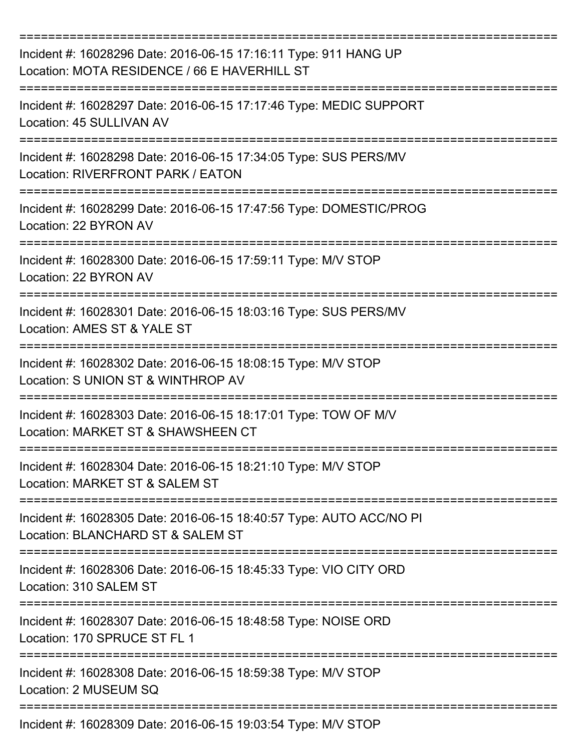| Incident #: 16028296 Date: 2016-06-15 17:16:11 Type: 911 HANG UP<br>Location: MOTA RESIDENCE / 66 E HAVERHILL ST |
|------------------------------------------------------------------------------------------------------------------|
| Incident #: 16028297 Date: 2016-06-15 17:17:46 Type: MEDIC SUPPORT<br>Location: 45 SULLIVAN AV                   |
| Incident #: 16028298 Date: 2016-06-15 17:34:05 Type: SUS PERS/MV<br>Location: RIVERFRONT PARK / EATON            |
| Incident #: 16028299 Date: 2016-06-15 17:47:56 Type: DOMESTIC/PROG<br>Location: 22 BYRON AV                      |
| Incident #: 16028300 Date: 2016-06-15 17:59:11 Type: M/V STOP<br>Location: 22 BYRON AV                           |
| Incident #: 16028301 Date: 2016-06-15 18:03:16 Type: SUS PERS/MV<br>Location: AMES ST & YALE ST                  |
| Incident #: 16028302 Date: 2016-06-15 18:08:15 Type: M/V STOP<br>Location: S UNION ST & WINTHROP AV              |
| Incident #: 16028303 Date: 2016-06-15 18:17:01 Type: TOW OF M/V<br>Location: MARKET ST & SHAWSHEEN CT            |
| Incident #: 16028304 Date: 2016-06-15 18:21:10 Type: M/V STOP<br>Location: MARKET ST & SALEM ST                  |
| Incident #: 16028305 Date: 2016-06-15 18:40:57 Type: AUTO ACC/NO PI<br>Location: BLANCHARD ST & SALEM ST         |
| Incident #: 16028306 Date: 2016-06-15 18:45:33 Type: VIO CITY ORD<br>Location: 310 SALEM ST                      |
| Incident #: 16028307 Date: 2016-06-15 18:48:58 Type: NOISE ORD<br>Location: 170 SPRUCE ST FL 1                   |
| Incident #: 16028308 Date: 2016-06-15 18:59:38 Type: M/V STOP<br>Location: 2 MUSEUM SQ                           |
| Incident #: 16028309 Date: 2016-06-15 19:03:54 Type: M/V STOP                                                    |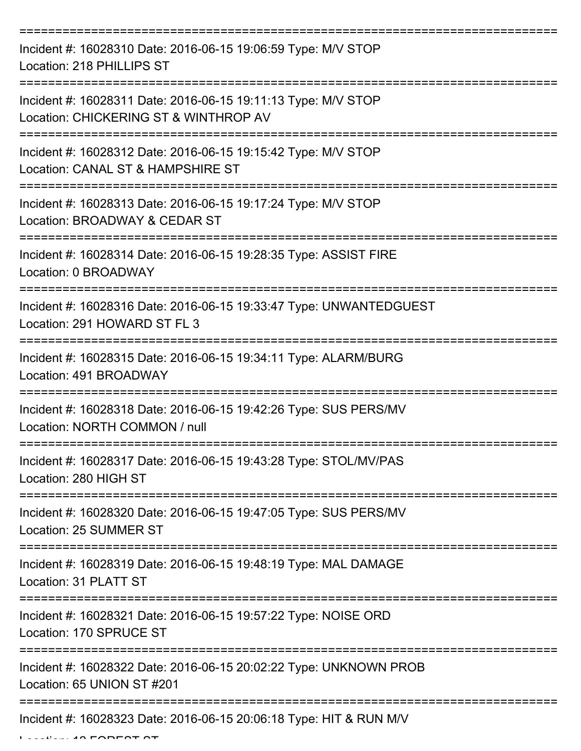| Incident #: 16028310 Date: 2016-06-15 19:06:59 Type: M/V STOP<br>Location: 218 PHILLIPS ST                |
|-----------------------------------------------------------------------------------------------------------|
| Incident #: 16028311 Date: 2016-06-15 19:11:13 Type: M/V STOP<br>Location: CHICKERING ST & WINTHROP AV    |
| Incident #: 16028312 Date: 2016-06-15 19:15:42 Type: M/V STOP<br>Location: CANAL ST & HAMPSHIRE ST        |
| Incident #: 16028313 Date: 2016-06-15 19:17:24 Type: M/V STOP<br>Location: BROADWAY & CEDAR ST            |
| Incident #: 16028314 Date: 2016-06-15 19:28:35 Type: ASSIST FIRE<br>Location: 0 BROADWAY                  |
| Incident #: 16028316 Date: 2016-06-15 19:33:47 Type: UNWANTEDGUEST<br>Location: 291 HOWARD ST FL 3        |
| Incident #: 16028315 Date: 2016-06-15 19:34:11 Type: ALARM/BURG<br>Location: 491 BROADWAY<br>============ |
| Incident #: 16028318 Date: 2016-06-15 19:42:26 Type: SUS PERS/MV<br>Location: NORTH COMMON / null         |
| Incident #: 16028317 Date: 2016-06-15 19:43:28 Type: STOL/MV/PAS<br>Location: 280 HIGH ST                 |
| Incident #: 16028320 Date: 2016-06-15 19:47:05 Type: SUS PERS/MV<br>Location: 25 SUMMER ST                |
| Incident #: 16028319 Date: 2016-06-15 19:48:19 Type: MAL DAMAGE<br>Location: 31 PLATT ST                  |
| Incident #: 16028321 Date: 2016-06-15 19:57:22 Type: NOISE ORD<br>Location: 170 SPRUCE ST                 |
| Incident #: 16028322 Date: 2016-06-15 20:02:22 Type: UNKNOWN PROB<br>Location: 65 UNION ST #201           |
| Incident #: 16028323 Date: 2016-06-15 20:06:18 Type: HIT & RUN M/V                                        |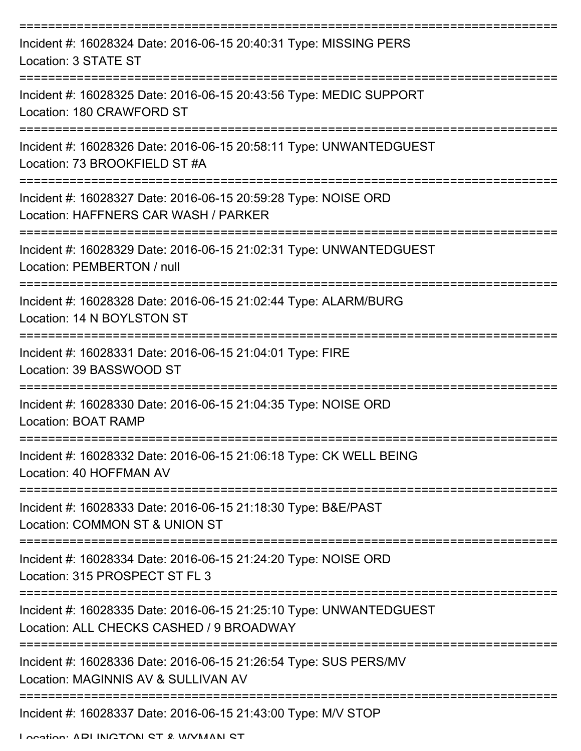| Incident #: 16028324 Date: 2016-06-15 20:40:31 Type: MISSING PERS<br>Location: 3 STATE ST                          |
|--------------------------------------------------------------------------------------------------------------------|
| Incident #: 16028325 Date: 2016-06-15 20:43:56 Type: MEDIC SUPPORT<br>Location: 180 CRAWFORD ST<br>:============== |
| Incident #: 16028326 Date: 2016-06-15 20:58:11 Type: UNWANTEDGUEST<br>Location: 73 BROOKFIELD ST #A                |
| Incident #: 16028327 Date: 2016-06-15 20:59:28 Type: NOISE ORD<br>Location: HAFFNERS CAR WASH / PARKER             |
| Incident #: 16028329 Date: 2016-06-15 21:02:31 Type: UNWANTEDGUEST<br>Location: PEMBERTON / null                   |
| Incident #: 16028328 Date: 2016-06-15 21:02:44 Type: ALARM/BURG<br>Location: 14 N BOYLSTON ST                      |
| Incident #: 16028331 Date: 2016-06-15 21:04:01 Type: FIRE<br>Location: 39 BASSWOOD ST                              |
| Incident #: 16028330 Date: 2016-06-15 21:04:35 Type: NOISE ORD<br><b>Location: BOAT RAMP</b>                       |
| Incident #: 16028332 Date: 2016-06-15 21:06:18 Type: CK WELL BEING<br>Location: 40 HOFFMAN AV                      |
| Incident #: 16028333 Date: 2016-06-15 21:18:30 Type: B&E/PAST<br>Location: COMMON ST & UNION ST                    |
| Incident #: 16028334 Date: 2016-06-15 21:24:20 Type: NOISE ORD<br>Location: 315 PROSPECT ST FL 3                   |
| Incident #: 16028335 Date: 2016-06-15 21:25:10 Type: UNWANTEDGUEST<br>Location: ALL CHECKS CASHED / 9 BROADWAY     |
| Incident #: 16028336 Date: 2016-06-15 21:26:54 Type: SUS PERS/MV<br>Location: MAGINNIS AV & SULLIVAN AV            |
| Incident #: 16028337 Date: 2016-06-15 21:43:00 Type: M/V STOP                                                      |

Location: ADI INCTON ST & WYMAN ST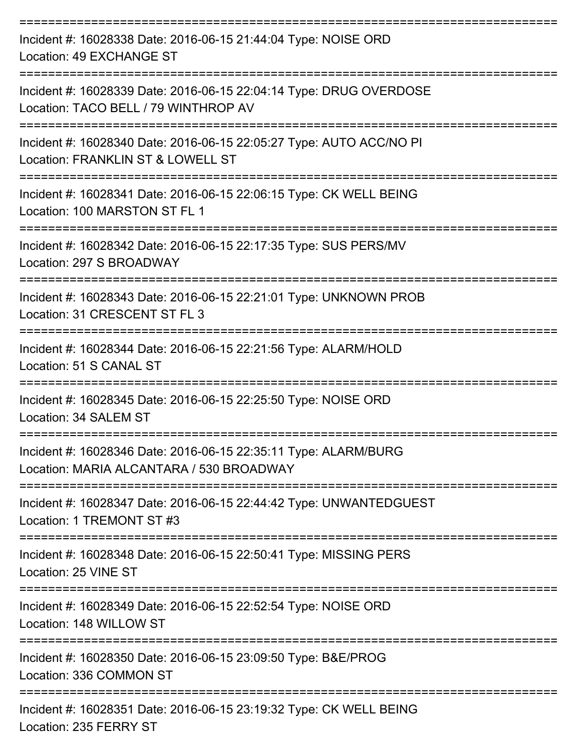| Incident #: 16028338 Date: 2016-06-15 21:44:04 Type: NOISE ORD<br>Location: 49 EXCHANGE ST                                       |
|----------------------------------------------------------------------------------------------------------------------------------|
| Incident #: 16028339 Date: 2016-06-15 22:04:14 Type: DRUG OVERDOSE<br>Location: TACO BELL / 79 WINTHROP AV                       |
| Incident #: 16028340 Date: 2016-06-15 22:05:27 Type: AUTO ACC/NO PI<br>Location: FRANKLIN ST & LOWELL ST                         |
| Incident #: 16028341 Date: 2016-06-15 22:06:15 Type: CK WELL BEING<br>Location: 100 MARSTON ST FL 1                              |
| Incident #: 16028342 Date: 2016-06-15 22:17:35 Type: SUS PERS/MV<br>Location: 297 S BROADWAY                                     |
| Incident #: 16028343 Date: 2016-06-15 22:21:01 Type: UNKNOWN PROB<br>Location: 31 CRESCENT ST FL 3                               |
| Incident #: 16028344 Date: 2016-06-15 22:21:56 Type: ALARM/HOLD<br>Location: 51 S CANAL ST                                       |
| Incident #: 16028345 Date: 2016-06-15 22:25:50 Type: NOISE ORD<br>Location: 34 SALEM ST                                          |
| Incident #: 16028346 Date: 2016-06-15 22:35:11 Type: ALARM/BURG<br>Location: MARIA ALCANTARA / 530 BROADWAY                      |
| Incident #: 16028347 Date: 2016-06-15 22:44:42 Type: UNWANTEDGUEST<br>Location: 1 TREMONT ST #3                                  |
| Incident #: 16028348 Date: 2016-06-15 22:50:41 Type: MISSING PERS<br>Location: 25 VINE ST                                        |
| ===================================<br>Incident #: 16028349 Date: 2016-06-15 22:52:54 Type: NOISE ORD<br>Location: 148 WILLOW ST |
| Incident #: 16028350 Date: 2016-06-15 23:09:50 Type: B&E/PROG<br>Location: 336 COMMON ST                                         |
| Incident #: 16028351 Date: 2016-06-15 23:19:32 Type: CK WELL BEING<br>Location: 235 FERRY ST                                     |